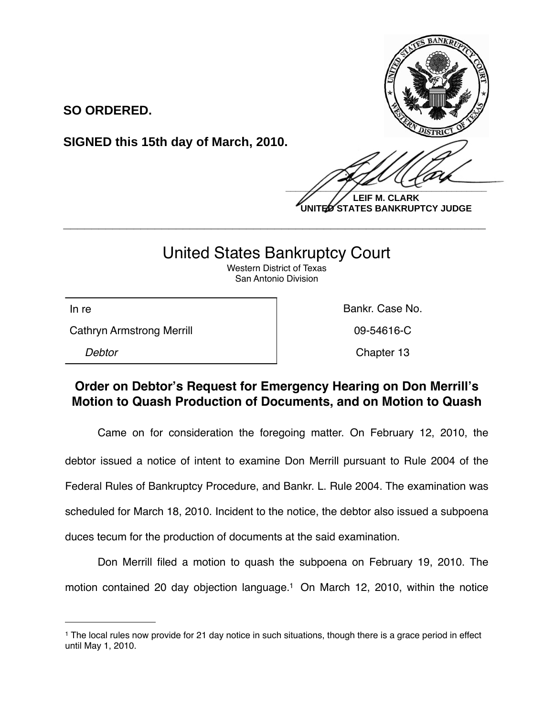

**LEIF M. CLARK UNITED STATES BANKRUPTCY JUDGE**

## United States Bankruptcy Court

**\_\_\_\_\_\_\_\_\_\_\_\_\_\_\_\_\_\_\_\_\_\_\_\_\_\_\_\_\_\_\_\_\_\_\_\_\_\_\_\_\_\_\_\_\_\_\_\_\_\_\_\_\_\_\_\_\_\_\_\_**

Western District of Texas San Antonio Division

Cathryn Armstrong Merrill **Cathryn Armstrong Merrill** 199-54616-C

**SO ORDERED.**

**SIGNED this 15th day of March, 2010.**

In re **Bankr.** Case No.

**Debtor** Chapter 13

## **Order on Debtor's Request for Emergency Hearing on Don Merrill's Motion to Quash Production of Documents, and on Motion to Quash**

Came on for consideration the foregoing matter. On February 12, 2010, the debtor issued a notice of intent to examine Don Merrill pursuant to Rule 2004 of the Federal Rules of Bankruptcy Procedure, and Bankr. L. Rule 2004. The examination was scheduled for March 18, 2010. Incident to the notice, the debtor also issued a subpoena duces tecum for the production of documents at the said examination.

Don Merrill filed a motion to quash the subpoena on February 19, 2010. The motion contained 20 day objection language.<sup>1</sup> On March 12, 2010, within the notice

<span id="page-0-0"></span><sup>1</sup> The local rules now provide for 21 day notice in such situations, though there is a grace period in effect until May 1, 2010.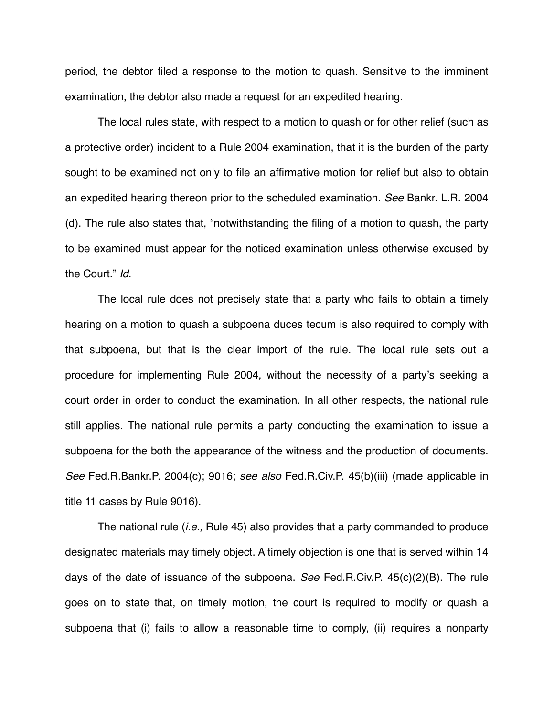period, the debtor filed a response to the motion to quash. Sensitive to the imminent examination, the debtor also made a request for an expedited hearing.

The local rules state, with respect to a motion to quash or for other relief (such as a protective order) incident to a Rule 2004 examination, that it is the burden of the party sought to be examined not only to file an affirmative motion for relief but also to obtain an expedited hearing thereon prior to the scheduled examination. *See* Bankr. L.R. 2004 (d). The rule also states that, "notwithstanding the filing of a motion to quash, the party to be examined must appear for the noticed examination unless otherwise excused by the Court." *Id.*

The local rule does not precisely state that a party who fails to obtain a timely hearing on a motion to quash a subpoena duces tecum is also required to comply with that subpoena, but that is the clear import of the rule. The local rule sets out a procedure for implementing Rule 2004, without the necessity of a party's seeking a court order in order to conduct the examination. In all other respects, the national rule still applies. The national rule permits a party conducting the examination to issue a subpoena for the both the appearance of the witness and the production of documents. *See* Fed.R.Bankr.P. 2004(c); 9016; *see also* Fed.R.Civ.P. 45(b)(iii) (made applicable in title 11 cases by Rule 9016).

The national rule (*i.e.,* Rule 45) also provides that a party commanded to produce designated materials may timely object. A timely objection is one that is served within 14 days of the date of issuance of the subpoena. *See* Fed.R.Civ.P. 45(c)(2)(B). The rule goes on to state that, on timely motion, the court is required to modify or quash a subpoena that (i) fails to allow a reasonable time to comply, (ii) requires a nonparty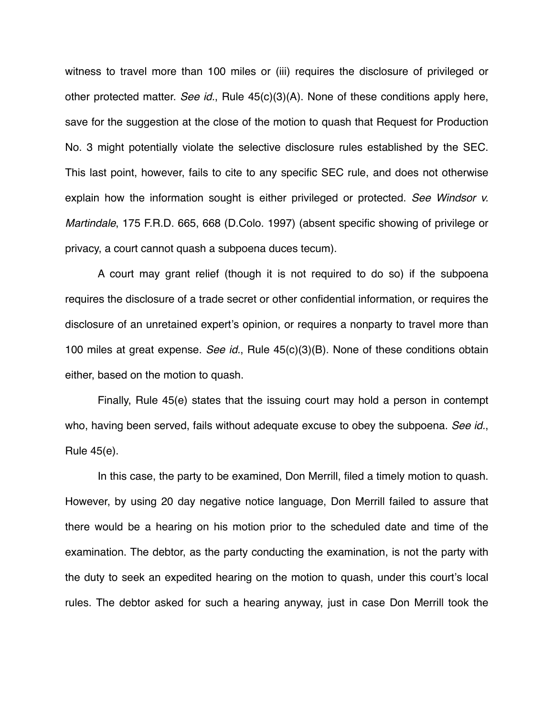witness to travel more than 100 miles or (iii) requires the disclosure of privileged or other protected matter. *See id.*, Rule 45(c)(3)(A). None of these conditions apply here, save for the suggestion at the close of the motion to quash that Request for Production No. 3 might potentially violate the selective disclosure rules established by the SEC. This last point, however, fails to cite to any specific SEC rule, and does not otherwise explain how the information sought is either privileged or protected. *See Windsor v. Martindale*, 175 F.R.D. 665, 668 (D.Colo. 1997) (absent specific showing of privilege or privacy, a court cannot quash a subpoena duces tecum).

A court may grant relief (though it is not required to do so) if the subpoena requires the disclosure of a trade secret or other confidential information, or requires the disclosure of an unretained expert's opinion, or requires a nonparty to travel more than 100 miles at great expense. *See id.*, Rule 45(c)(3)(B). None of these conditions obtain either, based on the motion to quash.

Finally, Rule 45(e) states that the issuing court may hold a person in contempt who, having been served, fails without adequate excuse to obey the subpoena. *See id.*, Rule 45(e).

In this case, the party to be examined, Don Merrill, filed a timely motion to quash. However, by using 20 day negative notice language, Don Merrill failed to assure that there would be a hearing on his motion prior to the scheduled date and time of the examination. The debtor, as the party conducting the examination, is not the party with the duty to seek an expedited hearing on the motion to quash, under this court's local rules. The debtor asked for such a hearing anyway, just in case Don Merrill took the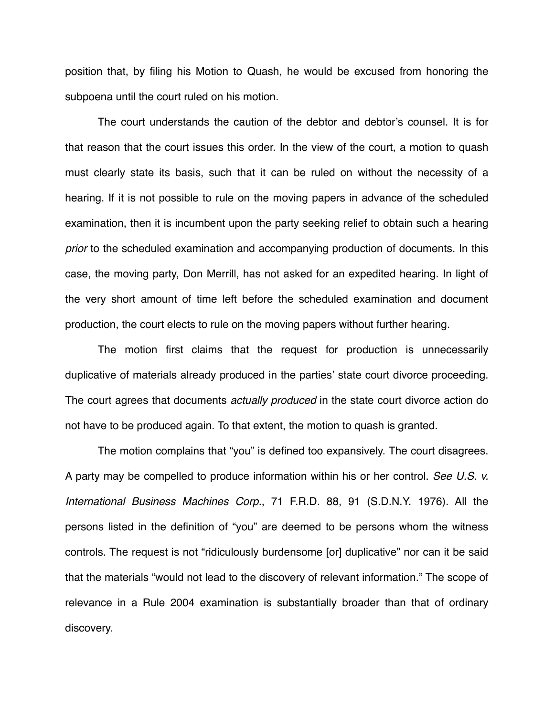position that, by filing his Motion to Quash, he would be excused from honoring the subpoena until the court ruled on his motion.

The court understands the caution of the debtor and debtor's counsel. It is for that reason that the court issues this order. In the view of the court, a motion to quash must clearly state its basis, such that it can be ruled on without the necessity of a hearing. If it is not possible to rule on the moving papers in advance of the scheduled examination, then it is incumbent upon the party seeking relief to obtain such a hearing *prior* to the scheduled examination and accompanying production of documents. In this case, the moving party, Don Merrill, has not asked for an expedited hearing. In light of the very short amount of time left before the scheduled examination and document production, the court elects to rule on the moving papers without further hearing.

The motion first claims that the request for production is unnecessarily duplicative of materials already produced in the parties' state court divorce proceeding. The court agrees that documents *actually produced* in the state court divorce action do not have to be produced again. To that extent, the motion to quash is granted.

The motion complains that "you" is defined too expansively. The court disagrees. A party may be compelled to produce information within his or her control. *See U.S. v. International Business Machines Corp.*, 71 F.R.D. 88, 91 (S.D.N.Y. 1976). All the persons listed in the definition of "you" are deemed to be persons whom the witness controls. The request is not "ridiculously burdensome [or] duplicative" nor can it be said that the materials "would not lead to the discovery of relevant information." The scope of relevance in a Rule 2004 examination is substantially broader than that of ordinary discovery.